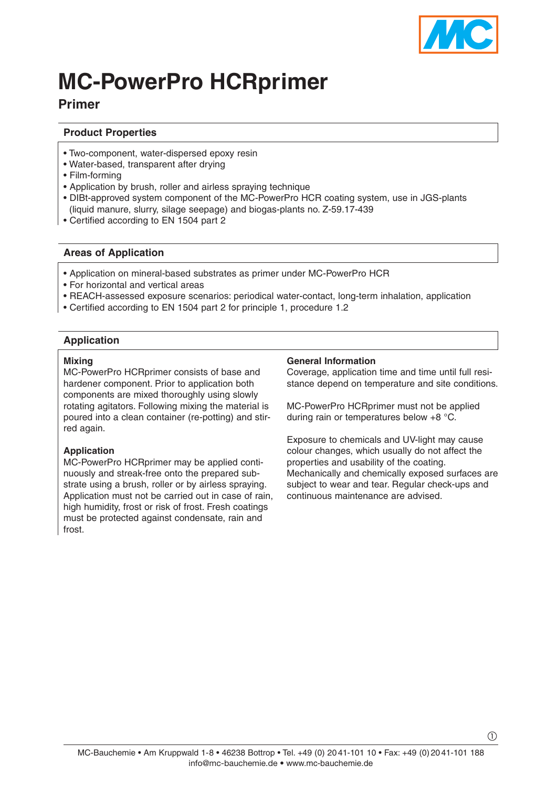

# **MC-PowerPro HCRprimer**

## **Primer**

#### **Product Properties**

- Two-component, water-dispersed epoxy resin
- Water-based, transparent after drying
- Film-forming
- Application by brush, roller and airless spraving technique
- DIBt-approved system component of the MC-PowerPro HCR coating system, use in JGS-plants (liquid manure, slurry, silage seepage) and biogas-plants no. Z-59.17-439
- Certified according to EN 1504 part 2

### **Areas of Application**

- Application on mineral-based substrates as primer under MC-PowerPro HCR
- For horizontal and vertical areas
- REACH-assessed exposure scenarios: periodical water-contact, long-term inhalation, application
- Certified according to EN 1504 part 2 for principle 1, procedure 1.2

### **Application**

#### **Mixing**

MC-PowerPro HCRprimer consists of base and hardener component. Prior to application both components are mixed thoroughly using slowly rotating agitators. Following mixing the material is poured into a clean container (re-potting) and stirred again.

#### **Application**

MC-PowerPro HCRprimer may be applied continuously and streak-free onto the prepared substrate using a brush, roller or by airless spraying. Application must not be carried out in case of rain, high humidity, frost or risk of frost. Fresh coatings must be protected against condensate, rain and frost.

#### **General Information**

Coverage, application time and time until full resistance depend on temperature and site conditions.

MC-PowerPro HCRprimer must not be applied during rain or temperatures below +8 °C.

Exposure to chemicals and UV-light may cause colour changes, which usually do not affect the properties and usability of the coating. Mechanically and chemically exposed surfaces are subject to wear and tear. Regular check-ups and continuous maintenance are advised.